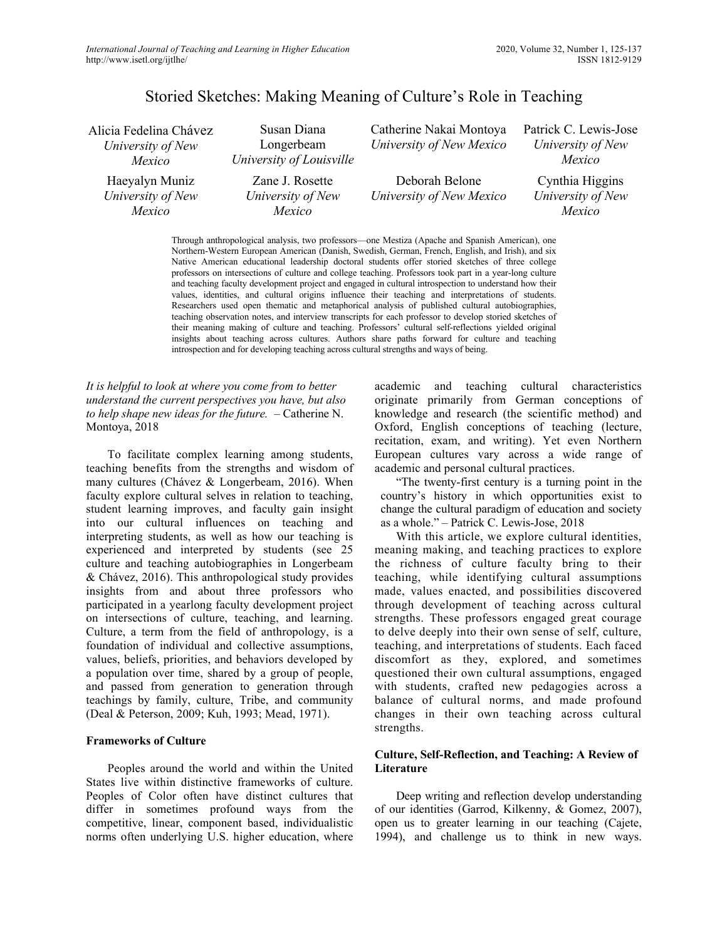# Storied Sketches: Making Meaning of Culture's Role in Teaching

| Alicia Fedelina Chávez<br>University of New<br>Mexico | Susan Diana<br>Longerbeam<br>University of Louisville | Catherine Nakai Montoya<br>University of New Mexico                                             | Patrick C. Lewis-Jose<br>University of New<br>Mexico |
|-------------------------------------------------------|-------------------------------------------------------|-------------------------------------------------------------------------------------------------|------------------------------------------------------|
| Haeyalyn Muniz<br>University of New<br>Mexico         | Zane J. Rosette<br>University of New<br>Mexico        | Deborah Belone<br>University of New Mexico                                                      | Cynthia Higgins<br>University of New<br>Mexico       |
|                                                       |                                                       | Through anthropological analysis, two professors—one Mestiza (Apache and Spanish American), one |                                                      |

Northern-Western European American (Danish, Swedish, German, French, English, and Irish), and six Native American educational leadership doctoral students offer storied sketches of three college professors on intersections of culture and college teaching. Professors took part in a year-long culture and teaching faculty development project and engaged in cultural introspection to understand how their values, identities, and cultural origins influence their teaching and interpretations of students. Researchers used open thematic and metaphorical analysis of published cultural autobiographies, teaching observation notes, and interview transcripts for each professor to develop storied sketches of their meaning making of culture and teaching. Professors' cultural self-reflections yielded original insights about teaching across cultures. Authors share paths forward for culture and teaching introspection and for developing teaching across cultural strengths and ways of being.

*It is helpful to look at where you come from to better understand the current perspectives you have, but also to help shape new ideas for the future.* – Catherine N. Montoya, 2018

To facilitate complex learning among students, teaching benefits from the strengths and wisdom of many cultures (Chávez & Longerbeam, 2016). When faculty explore cultural selves in relation to teaching, student learning improves, and faculty gain insight into our cultural influences on teaching and interpreting students, as well as how our teaching is experienced and interpreted by students (see 25 culture and teaching autobiographies in Longerbeam & Chávez, 2016). This anthropological study provides insights from and about three professors who participated in a yearlong faculty development project on intersections of culture, teaching, and learning. Culture, a term from the field of anthropology, is a foundation of individual and collective assumptions, values, beliefs, priorities, and behaviors developed by a population over time, shared by a group of people, and passed from generation to generation through teachings by family, culture, Tribe, and community (Deal & Peterson, 2009; Kuh, 1993; Mead, 1971).

#### **Frameworks of Culture**

Peoples around the world and within the United States live within distinctive frameworks of culture. Peoples of Color often have distinct cultures that differ in sometimes profound ways from the competitive, linear, component based, individualistic norms often underlying U.S. higher education, where

academic and teaching cultural characteristics originate primarily from German conceptions of knowledge and research (the scientific method) and Oxford, English conceptions of teaching (lecture, recitation, exam, and writing). Yet even Northern European cultures vary across a wide range of academic and personal cultural practices.

"The twenty-first century is a turning point in the country's history in which opportunities exist to change the cultural paradigm of education and society as a whole." – Patrick C. Lewis-Jose, 2018

With this article, we explore cultural identities, meaning making, and teaching practices to explore the richness of culture faculty bring to their teaching, while identifying cultural assumptions made, values enacted, and possibilities discovered through development of teaching across cultural strengths. These professors engaged great courage to delve deeply into their own sense of self, culture, teaching, and interpretations of students. Each faced discomfort as they, explored, and sometimes questioned their own cultural assumptions, engaged with students, crafted new pedagogies across a balance of cultural norms, and made profound changes in their own teaching across cultural strengths.

## **Culture, Self-Reflection, and Teaching: A Review of Literature**

Deep writing and reflection develop understanding of our identities (Garrod, Kilkenny, & Gomez, 2007), open us to greater learning in our teaching (Cajete, 1994), and challenge us to think in new ways.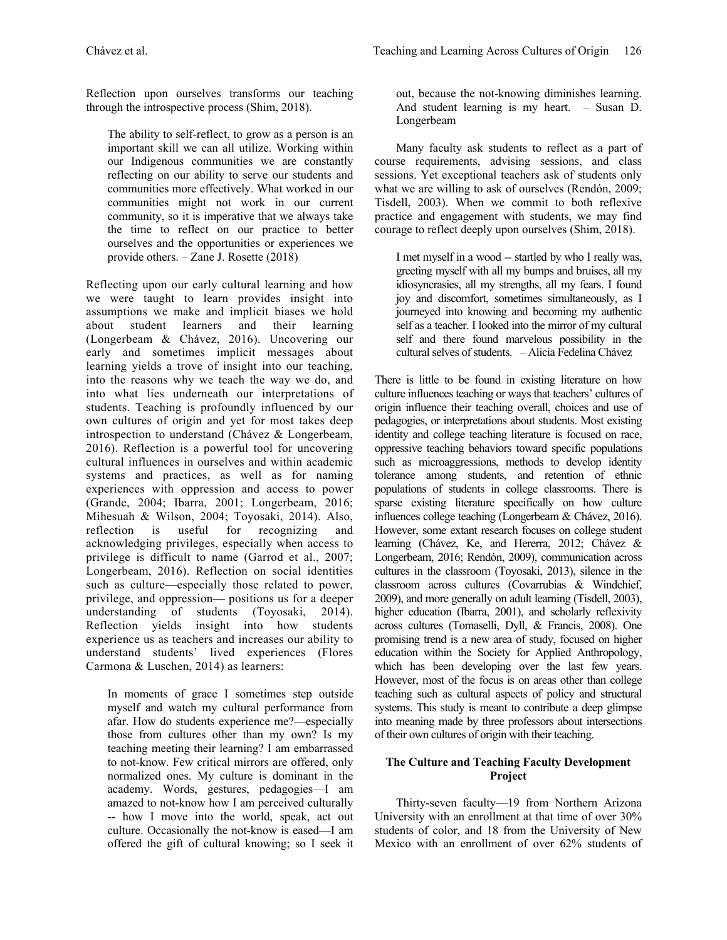Reflection upon ourselves transforms our teaching through the introspective process (Shim, 2018).

The ability to self-reflect, to grow as a person is an important skill we can all utilize. Working within our Indigenous communities we are constantly reflecting on our ability to serve our students and communities more effectively. What worked in our communities might not work in our current community, so it is imperative that we always take the time to reflect on our practice to better ourselves and the opportunities or experiences we provide others. – Zane J. Rosette (2018)

Reflecting upon our early cultural learning and how we were taught to learn provides insight into assumptions we make and implicit biases we hold about student learners and their learning (Longerbeam & Chávez, 2016). Uncovering our early and sometimes implicit messages about learning yields a trove of insight into our teaching, into the reasons why we teach the way we do, and into what lies underneath our interpretations of students. Teaching is profoundly influenced by our own cultures of origin and yet for most takes deep introspection to understand (Chávez & Longerbeam, 2016). Reflection is a powerful tool for uncovering cultural influences in ourselves and within academic systems and practices, as well as for naming experiences with oppression and access to power (Grande, 2004; Ibarra, 2001; Longerbeam, 2016; Mihesuah & Wilson, 2004; Toyosaki, 2014). Also, reflection is useful for recognizing and acknowledging privileges, especially when access to privilege is difficult to name (Garrod et al., 2007; Longerbeam, 2016). Reflection on social identities such as culture—especially those related to power, privilege, and oppression— positions us for a deeper understanding of students (Toyosaki, 2014). Reflection yields insight into how students experience us as teachers and increases our ability to understand students' lived experiences (Flores Carmona & Luschen, 2014) as learners:

In moments of grace I sometimes step outside myself and watch my cultural performance from afar. How do students experience me?—especially those from cultures other than my own? Is my teaching meeting their learning? I am embarrassed to not-know. Few critical mirrors are offered, only normalized ones. My culture is dominant in the academy. Words, gestures, pedagogies—I am amazed to not-know how I am perceived culturally -- how I move into the world, speak, act out culture. Occasionally the not-know is eased—I am offered the gift of cultural knowing; so I seek it out, because the not-knowing diminishes learning. And student learning is my heart. – Susan D. Longerbeam

Many faculty ask students to reflect as a part of course requirements, advising sessions, and class sessions. Yet exceptional teachers ask of students only what we are willing to ask of ourselves (Rendón, 2009; Tisdell, 2003). When we commit to both reflexive practice and engagement with students, we may find courage to reflect deeply upon ourselves (Shim, 2018).

I met myself in a wood -- startled by who I really was, greeting myself with all my bumps and bruises, all my idiosyncrasies, all my strengths, all my fears. I found joy and discomfort, sometimes simultaneously, as I journeyed into knowing and becoming my authentic self as a teacher. I looked into the mirror of my cultural self and there found marvelous possibility in the cultural selves of students. – Alicia Fedelina Chávez

There is little to be found in existing literature on how culture influences teaching or ways that teachers' cultures of origin influence their teaching overall, choices and use of pedagogies, or interpretations about students. Most existing identity and college teaching literature is focused on race, oppressive teaching behaviors toward specific populations such as microaggressions, methods to develop identity tolerance among students, and retention of ethnic populations of students in college classrooms. There is sparse existing literature specifically on how culture influences college teaching (Longerbeam & Chávez, 2016). However, some extant research focuses on college student learning (Chávez, Ke, and Hererra, 2012; Chávez & Longerbeam, 2016; Rendón, 2009), communication across cultures in the classroom (Toyosaki, 2013), silence in the classroom across cultures (Covarrubias & Windchief, 2009), and more generally on adult learning (Tisdell, 2003), higher education (Ibarra, 2001), and scholarly reflexivity across cultures (Tomaselli, Dyll, & Francis, 2008). One promising trend is a new area of study, focused on higher education within the Society for Applied Anthropology, which has been developing over the last few years. However, most of the focus is on areas other than college teaching such as cultural aspects of policy and structural systems. This study is meant to contribute a deep glimpse into meaning made by three professors about intersections of their own cultures of origin with their teaching.

## **The Culture and Teaching Faculty Development Project**

Thirty-seven faculty—19 from Northern Arizona University with an enrollment at that time of over 30% students of color, and 18 from the University of New Mexico with an enrollment of over 62% students of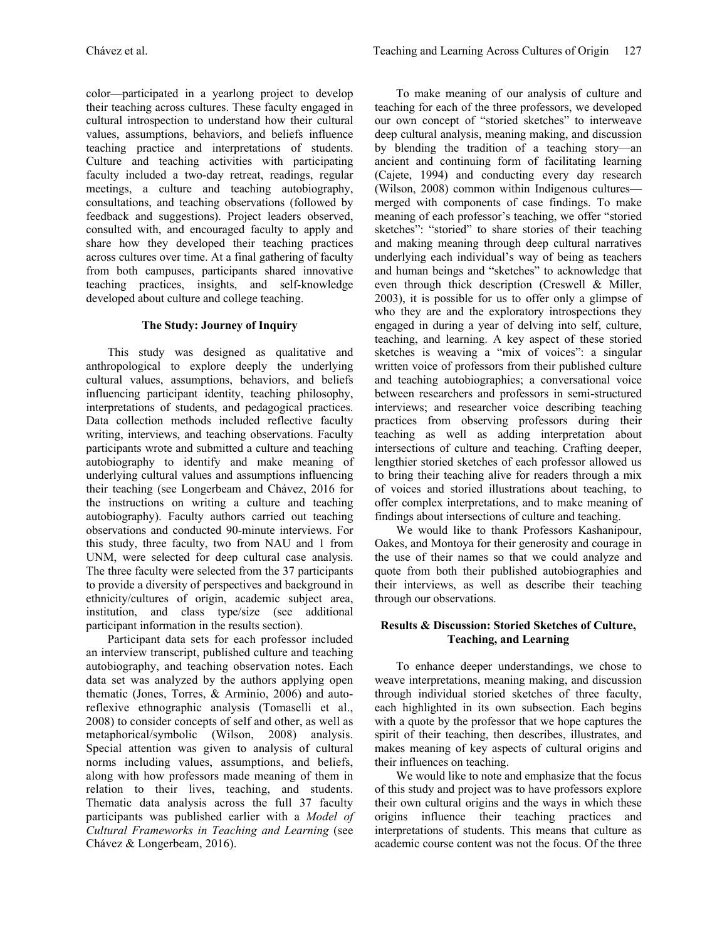color—participated in a yearlong project to develop their teaching across cultures. These faculty engaged in cultural introspection to understand how their cultural values, assumptions, behaviors, and beliefs influence teaching practice and interpretations of students. Culture and teaching activities with participating faculty included a two-day retreat, readings, regular meetings, a culture and teaching autobiography, consultations, and teaching observations (followed by feedback and suggestions). Project leaders observed, consulted with, and encouraged faculty to apply and share how they developed their teaching practices across cultures over time. At a final gathering of faculty from both campuses, participants shared innovative teaching practices, insights, and self-knowledge developed about culture and college teaching.

## **The Study: Journey of Inquiry**

This study was designed as qualitative and anthropological to explore deeply the underlying cultural values, assumptions, behaviors, and beliefs influencing participant identity, teaching philosophy, interpretations of students, and pedagogical practices. Data collection methods included reflective faculty writing, interviews, and teaching observations. Faculty participants wrote and submitted a culture and teaching autobiography to identify and make meaning of underlying cultural values and assumptions influencing their teaching (see Longerbeam and Chávez, 2016 for the instructions on writing a culture and teaching autobiography). Faculty authors carried out teaching observations and conducted 90-minute interviews. For this study, three faculty, two from NAU and 1 from UNM, were selected for deep cultural case analysis. The three faculty were selected from the 37 participants to provide a diversity of perspectives and background in ethnicity/cultures of origin, academic subject area, institution, and class type/size (see additional participant information in the results section).

Participant data sets for each professor included an interview transcript, published culture and teaching autobiography, and teaching observation notes. Each data set was analyzed by the authors applying open thematic (Jones, Torres, & Arminio, 2006) and autoreflexive ethnographic analysis (Tomaselli et al., 2008) to consider concepts of self and other, as well as metaphorical/symbolic (Wilson, 2008) analysis. Special attention was given to analysis of cultural norms including values, assumptions, and beliefs, along with how professors made meaning of them in relation to their lives, teaching, and students. Thematic data analysis across the full 37 faculty participants was published earlier with a *Model of Cultural Frameworks in Teaching and Learning* (see Chávez & Longerbeam, 2016).

To make meaning of our analysis of culture and teaching for each of the three professors, we developed our own concept of "storied sketches" to interweave deep cultural analysis, meaning making, and discussion by blending the tradition of a teaching story—an ancient and continuing form of facilitating learning (Cajete, 1994) and conducting every day research (Wilson, 2008) common within Indigenous cultures merged with components of case findings. To make meaning of each professor's teaching, we offer "storied sketches": "storied" to share stories of their teaching and making meaning through deep cultural narratives underlying each individual's way of being as teachers and human beings and "sketches" to acknowledge that even through thick description (Creswell & Miller, 2003), it is possible for us to offer only a glimpse of who they are and the exploratory introspections they engaged in during a year of delving into self, culture, teaching, and learning. A key aspect of these storied sketches is weaving a "mix of voices": a singular written voice of professors from their published culture and teaching autobiographies; a conversational voice between researchers and professors in semi-structured interviews; and researcher voice describing teaching practices from observing professors during their teaching as well as adding interpretation about intersections of culture and teaching. Crafting deeper, lengthier storied sketches of each professor allowed us to bring their teaching alive for readers through a mix of voices and storied illustrations about teaching, to offer complex interpretations, and to make meaning of findings about intersections of culture and teaching.

We would like to thank Professors Kashanipour, Oakes, and Montoya for their generosity and courage in the use of their names so that we could analyze and quote from both their published autobiographies and their interviews, as well as describe their teaching through our observations.

### **Results & Discussion: Storied Sketches of Culture, Teaching, and Learning**

To enhance deeper understandings, we chose to weave interpretations, meaning making, and discussion through individual storied sketches of three faculty, each highlighted in its own subsection. Each begins with a quote by the professor that we hope captures the spirit of their teaching, then describes, illustrates, and makes meaning of key aspects of cultural origins and their influences on teaching.

We would like to note and emphasize that the focus of this study and project was to have professors explore their own cultural origins and the ways in which these origins influence their teaching practices and interpretations of students. This means that culture as academic course content was not the focus. Of the three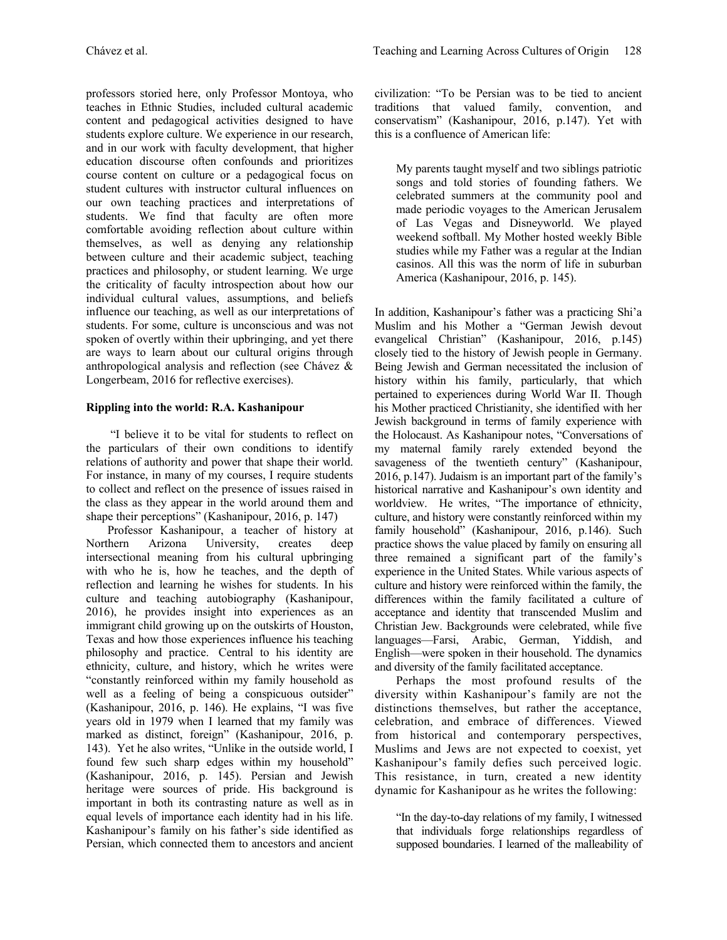professors storied here, only Professor Montoya, who teaches in Ethnic Studies, included cultural academic content and pedagogical activities designed to have students explore culture. We experience in our research, and in our work with faculty development, that higher education discourse often confounds and prioritizes course content on culture or a pedagogical focus on student cultures with instructor cultural influences on our own teaching practices and interpretations of students. We find that faculty are often more comfortable avoiding reflection about culture within themselves, as well as denying any relationship between culture and their academic subject, teaching practices and philosophy, or student learning. We urge the criticality of faculty introspection about how our individual cultural values, assumptions, and beliefs influence our teaching, as well as our interpretations of students. For some, culture is unconscious and was not spoken of overtly within their upbringing, and yet there are ways to learn about our cultural origins through anthropological analysis and reflection (see Chávez & Longerbeam, 2016 for reflective exercises).

# **Rippling into the world: R.A. Kashanipour**

"I believe it to be vital for students to reflect on the particulars of their own conditions to identify relations of authority and power that shape their world. For instance, in many of my courses, I require students to collect and reflect on the presence of issues raised in the class as they appear in the world around them and shape their perceptions" (Kashanipour, 2016, p. 147)

Professor Kashanipour, a teacher of history at Northern Arizona University, creates deep intersectional meaning from his cultural upbringing with who he is, how he teaches, and the depth of reflection and learning he wishes for students. In his culture and teaching autobiography (Kashanipour, 2016), he provides insight into experiences as an immigrant child growing up on the outskirts of Houston, Texas and how those experiences influence his teaching philosophy and practice. Central to his identity are ethnicity, culture, and history, which he writes were "constantly reinforced within my family household as well as a feeling of being a conspicuous outsider" (Kashanipour, 2016, p. 146). He explains, "I was five years old in 1979 when I learned that my family was marked as distinct, foreign" (Kashanipour, 2016, p. 143). Yet he also writes, "Unlike in the outside world, I found few such sharp edges within my household" (Kashanipour, 2016, p. 145). Persian and Jewish heritage were sources of pride. His background is important in both its contrasting nature as well as in equal levels of importance each identity had in his life. Kashanipour's family on his father's side identified as Persian, which connected them to ancestors and ancient civilization: "To be Persian was to be tied to ancient traditions that valued family, convention, and conservatism" (Kashanipour, 2016, p.147). Yet with this is a confluence of American life:

My parents taught myself and two siblings patriotic songs and told stories of founding fathers. We celebrated summers at the community pool and made periodic voyages to the American Jerusalem of Las Vegas and Disneyworld. We played weekend softball. My Mother hosted weekly Bible studies while my Father was a regular at the Indian casinos. All this was the norm of life in suburban America (Kashanipour, 2016, p. 145).

In addition, Kashanipour's father was a practicing Shi'a Muslim and his Mother a "German Jewish devout evangelical Christian" (Kashanipour, 2016, p.145) closely tied to the history of Jewish people in Germany. Being Jewish and German necessitated the inclusion of history within his family, particularly, that which pertained to experiences during World War II. Though his Mother practiced Christianity, she identified with her Jewish background in terms of family experience with the Holocaust. As Kashanipour notes, "Conversations of my maternal family rarely extended beyond the savageness of the twentieth century" (Kashanipour, 2016, p.147). Judaism is an important part of the family's historical narrative and Kashanipour's own identity and worldview. He writes, "The importance of ethnicity, culture, and history were constantly reinforced within my family household" (Kashanipour, 2016, p.146). Such practice shows the value placed by family on ensuring all three remained a significant part of the family's experience in the United States. While various aspects of culture and history were reinforced within the family, the differences within the family facilitated a culture of acceptance and identity that transcended Muslim and Christian Jew. Backgrounds were celebrated, while five languages—Farsi, Arabic, German, Yiddish, and English—were spoken in their household. The dynamics and diversity of the family facilitated acceptance.

Perhaps the most profound results of the diversity within Kashanipour's family are not the distinctions themselves, but rather the acceptance, celebration, and embrace of differences. Viewed from historical and contemporary perspectives, Muslims and Jews are not expected to coexist, yet Kashanipour's family defies such perceived logic. This resistance, in turn, created a new identity dynamic for Kashanipour as he writes the following:

"In the day-to-day relations of my family, I witnessed that individuals forge relationships regardless of supposed boundaries. I learned of the malleability of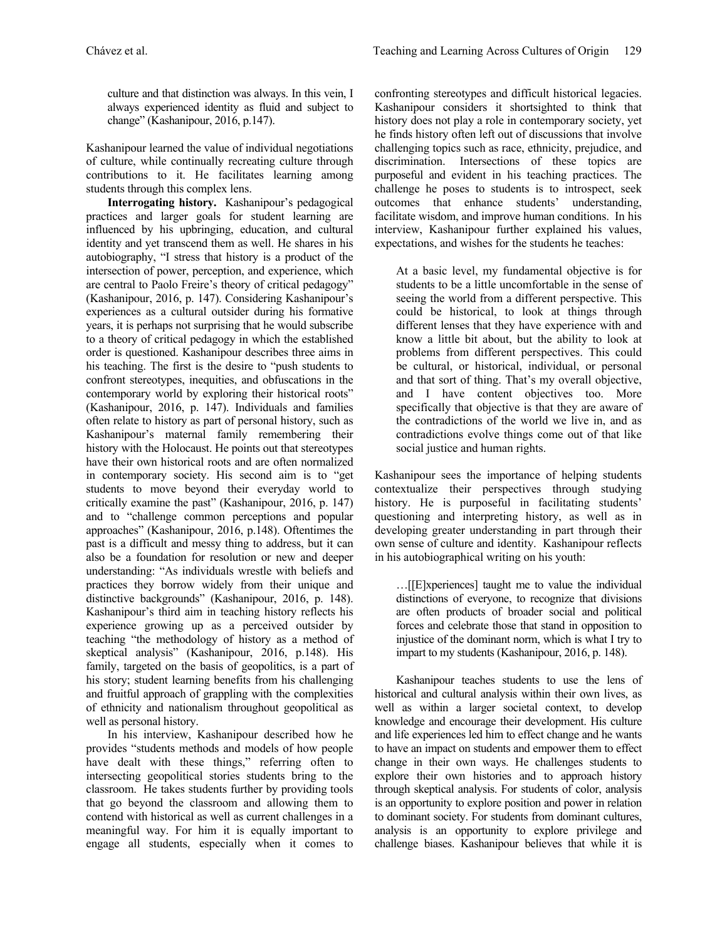culture and that distinction was always. In this vein, I always experienced identity as fluid and subject to change" (Kashanipour, 2016, p.147).

Kashanipour learned the value of individual negotiations of culture, while continually recreating culture through contributions to it. He facilitates learning among students through this complex lens.

**Interrogating history.** Kashanipour's pedagogical practices and larger goals for student learning are influenced by his upbringing, education, and cultural identity and yet transcend them as well. He shares in his autobiography, "I stress that history is a product of the intersection of power, perception, and experience, which are central to Paolo Freire's theory of critical pedagogy" (Kashanipour, 2016, p. 147). Considering Kashanipour's experiences as a cultural outsider during his formative years, it is perhaps not surprising that he would subscribe to a theory of critical pedagogy in which the established order is questioned. Kashanipour describes three aims in his teaching. The first is the desire to "push students to confront stereotypes, inequities, and obfuscations in the contemporary world by exploring their historical roots" (Kashanipour, 2016, p. 147). Individuals and families often relate to history as part of personal history, such as Kashanipour's maternal family remembering their history with the Holocaust. He points out that stereotypes have their own historical roots and are often normalized in contemporary society. His second aim is to "get students to move beyond their everyday world to critically examine the past" (Kashanipour, 2016, p. 147) and to "challenge common perceptions and popular approaches" (Kashanipour, 2016, p.148). Oftentimes the past is a difficult and messy thing to address, but it can also be a foundation for resolution or new and deeper understanding: "As individuals wrestle with beliefs and practices they borrow widely from their unique and distinctive backgrounds" (Kashanipour, 2016, p. 148). Kashanipour's third aim in teaching history reflects his experience growing up as a perceived outsider by teaching "the methodology of history as a method of skeptical analysis" (Kashanipour, 2016, p.148). His family, targeted on the basis of geopolitics, is a part of his story; student learning benefits from his challenging and fruitful approach of grappling with the complexities of ethnicity and nationalism throughout geopolitical as well as personal history.

In his interview, Kashanipour described how he provides "students methods and models of how people have dealt with these things," referring often to intersecting geopolitical stories students bring to the classroom. He takes students further by providing tools that go beyond the classroom and allowing them to contend with historical as well as current challenges in a meaningful way. For him it is equally important to engage all students, especially when it comes to

confronting stereotypes and difficult historical legacies. Kashanipour considers it shortsighted to think that history does not play a role in contemporary society, yet he finds history often left out of discussions that involve challenging topics such as race, ethnicity, prejudice, and discrimination. Intersections of these topics are purposeful and evident in his teaching practices. The challenge he poses to students is to introspect, seek outcomes that enhance students' understanding, facilitate wisdom, and improve human conditions. In his interview, Kashanipour further explained his values, expectations, and wishes for the students he teaches:

At a basic level, my fundamental objective is for students to be a little uncomfortable in the sense of seeing the world from a different perspective. This could be historical, to look at things through different lenses that they have experience with and know a little bit about, but the ability to look at problems from different perspectives. This could be cultural, or historical, individual, or personal and that sort of thing. That's my overall objective, and I have content objectives too. More specifically that objective is that they are aware of the contradictions of the world we live in, and as contradictions evolve things come out of that like social justice and human rights.

Kashanipour sees the importance of helping students contextualize their perspectives through studying history. He is purposeful in facilitating students' questioning and interpreting history, as well as in developing greater understanding in part through their own sense of culture and identity. Kashanipour reflects in his autobiographical writing on his youth:

…[[E]xperiences] taught me to value the individual distinctions of everyone, to recognize that divisions are often products of broader social and political forces and celebrate those that stand in opposition to injustice of the dominant norm, which is what I try to impart to my students (Kashanipour, 2016, p. 148).

Kashanipour teaches students to use the lens of historical and cultural analysis within their own lives, as well as within a larger societal context, to develop knowledge and encourage their development. His culture and life experiences led him to effect change and he wants to have an impact on students and empower them to effect change in their own ways. He challenges students to explore their own histories and to approach history through skeptical analysis. For students of color, analysis is an opportunity to explore position and power in relation to dominant society. For students from dominant cultures, analysis is an opportunity to explore privilege and challenge biases. Kashanipour believes that while it is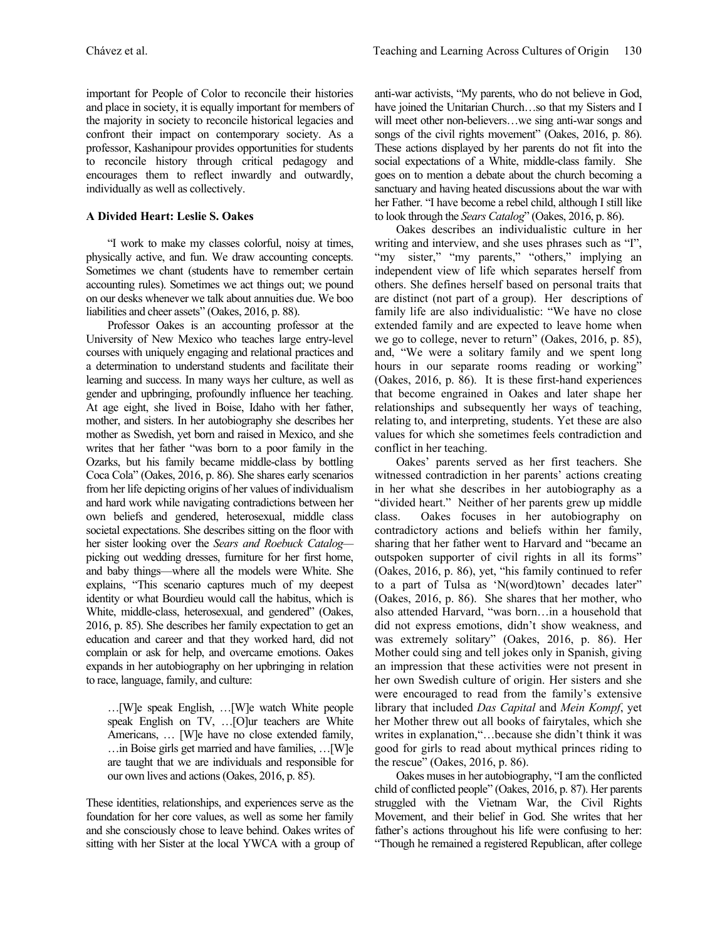important for People of Color to reconcile their histories and place in society, it is equally important for members of the majority in society to reconcile historical legacies and confront their impact on contemporary society. As a professor, Kashanipour provides opportunities for students to reconcile history through critical pedagogy and encourages them to reflect inwardly and outwardly, individually as well as collectively.

## **A Divided Heart: Leslie S. Oakes**

"I work to make my classes colorful, noisy at times, physically active, and fun. We draw accounting concepts. Sometimes we chant (students have to remember certain accounting rules). Sometimes we act things out; we pound on our desks whenever we talk about annuities due. We boo liabilities and cheer assets" (Oakes, 2016, p. 88).

Professor Oakes is an accounting professor at the University of New Mexico who teaches large entry-level courses with uniquely engaging and relational practices and a determination to understand students and facilitate their learning and success. In many ways her culture, as well as gender and upbringing, profoundly influence her teaching. At age eight, she lived in Boise, Idaho with her father, mother, and sisters. In her autobiography she describes her mother as Swedish, yet born and raised in Mexico, and she writes that her father "was born to a poor family in the Ozarks, but his family became middle-class by bottling Coca Cola" (Oakes, 2016, p. 86). She shares early scenarios from her life depicting origins of her values of individualism and hard work while navigating contradictions between her own beliefs and gendered, heterosexual, middle class societal expectations. She describes sitting on the floor with her sister looking over the *Sears and Roebuck Catalog* picking out wedding dresses, furniture for her first home, and baby things—where all the models were White. She explains, "This scenario captures much of my deepest identity or what Bourdieu would call the habitus, which is White, middle-class, heterosexual, and gendered" (Oakes, 2016, p. 85). She describes her family expectation to get an education and career and that they worked hard, did not complain or ask for help, and overcame emotions. Oakes expands in her autobiography on her upbringing in relation to race, language, family, and culture:

…[W]e speak English, …[W]e watch White people speak English on TV, …[O]ur teachers are White Americans, … [W]e have no close extended family, …in Boise girls get married and have families, …[W]e are taught that we are individuals and responsible for our own lives and actions(Oakes, 2016, p. 85).

These identities, relationships, and experiences serve as the foundation for her core values, as well as some her family and she consciously chose to leave behind. Oakes writes of sitting with her Sister at the local YWCA with a group of

anti-war activists, "My parents, who do not believe in God, have joined the Unitarian Church...so that my Sisters and I will meet other non-believers…we sing anti-war songs and songs of the civil rights movement" (Oakes, 2016, p. 86). These actions displayed by her parents do not fit into the social expectations of a White, middle-class family. She goes on to mention a debate about the church becoming a sanctuary and having heated discussions about the war with her Father. "I have become a rebel child, although I still like to look through the *Sears Catalog*" (Oakes, 2016, p. 86).

Oakes describes an individualistic culture in her writing and interview, and she uses phrases such as "I", "my sister," "my parents," "others," implying an independent view of life which separates herself from others. She defines herself based on personal traits that are distinct (not part of a group). Her descriptions of family life are also individualistic: "We have no close extended family and are expected to leave home when we go to college, never to return" (Oakes, 2016, p. 85), and, "We were a solitary family and we spent long hours in our separate rooms reading or working" (Oakes, 2016, p. 86). It is these first-hand experiences that become engrained in Oakes and later shape her relationships and subsequently her ways of teaching, relating to, and interpreting, students. Yet these are also values for which she sometimes feels contradiction and conflict in her teaching.

Oakes' parents served as her first teachers. She witnessed contradiction in her parents' actions creating in her what she describes in her autobiography as a "divided heart." Neither of her parents grew up middle class. Oakes focuses in her autobiography on contradictory actions and beliefs within her family, sharing that her father went to Harvard and "became an outspoken supporter of civil rights in all its forms" (Oakes, 2016, p. 86), yet, "his family continued to refer to a part of Tulsa as 'N(word)town' decades later" (Oakes, 2016, p. 86). She shares that her mother, who also attended Harvard, "was born…in a household that did not express emotions, didn't show weakness, and was extremely solitary" (Oakes, 2016, p. 86). Her Mother could sing and tell jokes only in Spanish, giving an impression that these activities were not present in her own Swedish culture of origin. Her sisters and she were encouraged to read from the family's extensive library that included *Das Capital* and *Mein Kompf*, yet her Mother threw out all books of fairytales, which she writes in explanation,"…because she didn't think it was good for girls to read about mythical princes riding to the rescue" (Oakes, 2016, p. 86).

Oakes muses in her autobiography, "I am the conflicted child of conflicted people" (Oakes, 2016, p. 87). Her parents struggled with the Vietnam War, the Civil Rights Movement, and their belief in God. She writes that her father's actions throughout his life were confusing to her: "Though he remained a registered Republican, after college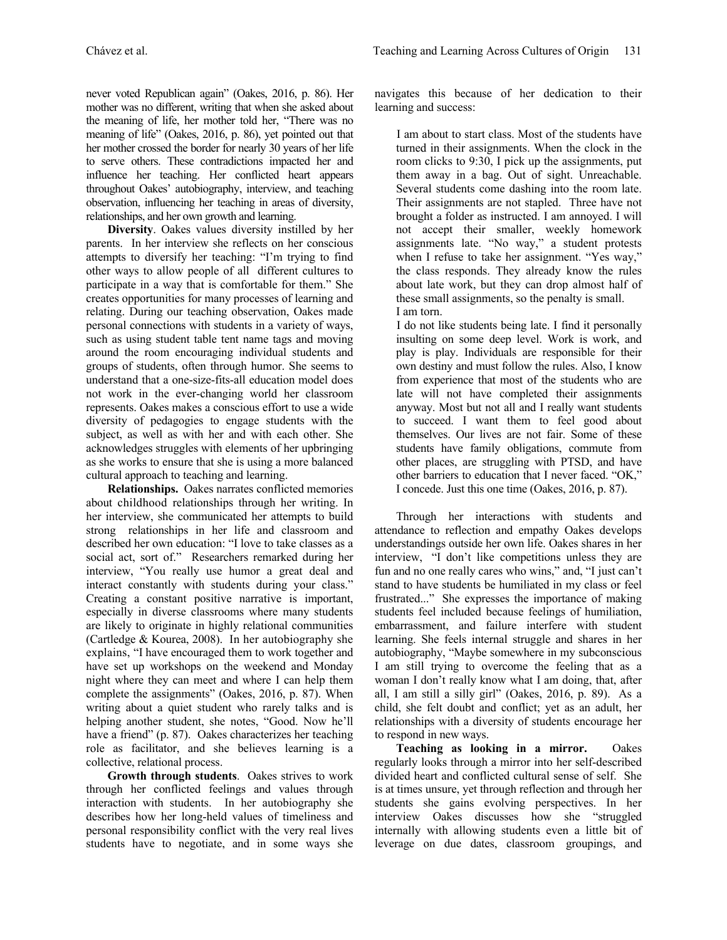never voted Republican again" (Oakes, 2016, p. 86). Her mother was no different, writing that when she asked about the meaning of life, her mother told her, "There was no meaning of life" (Oakes, 2016, p. 86), yet pointed out that her mother crossed the border for nearly 30 years of her life to serve others. These contradictions impacted her and influence her teaching. Her conflicted heart appears throughout Oakes' autobiography, interview, and teaching observation, influencing her teaching in areas of diversity, relationships, and her own growth and learning.

**Diversity**. Oakes values diversity instilled by her parents. In her interview she reflects on her conscious attempts to diversify her teaching: "I'm trying to find other ways to allow people of all different cultures to participate in a way that is comfortable for them." She creates opportunities for many processes of learning and relating. During our teaching observation, Oakes made personal connections with students in a variety of ways, such as using student table tent name tags and moving around the room encouraging individual students and groups of students, often through humor. She seems to understand that a one-size-fits-all education model does not work in the ever-changing world her classroom represents. Oakes makes a conscious effort to use a wide diversity of pedagogies to engage students with the subject, as well as with her and with each other. She acknowledges struggles with elements of her upbringing as she works to ensure that she is using a more balanced cultural approach to teaching and learning.

**Relationships.** Oakes narrates conflicted memories about childhood relationships through her writing. In her interview, she communicated her attempts to build strong relationships in her life and classroom and described her own education: "I love to take classes as a social act, sort of." Researchers remarked during her interview, "You really use humor a great deal and interact constantly with students during your class." Creating a constant positive narrative is important, especially in diverse classrooms where many students are likely to originate in highly relational communities (Cartledge & Kourea, 2008). In her autobiography she explains, "I have encouraged them to work together and have set up workshops on the weekend and Monday night where they can meet and where I can help them complete the assignments" (Oakes, 2016, p. 87). When writing about a quiet student who rarely talks and is helping another student, she notes, "Good. Now he'll have a friend" (p. 87). Oakes characterizes her teaching role as facilitator, and she believes learning is a collective, relational process.

**Growth through students**. Oakes strives to work through her conflicted feelings and values through interaction with students. In her autobiography she describes how her long-held values of timeliness and personal responsibility conflict with the very real lives students have to negotiate, and in some ways she navigates this because of her dedication to their learning and success:

I am about to start class. Most of the students have turned in their assignments. When the clock in the room clicks to 9:30, I pick up the assignments, put them away in a bag. Out of sight. Unreachable. Several students come dashing into the room late. Their assignments are not stapled. Three have not brought a folder as instructed. I am annoyed. I will not accept their smaller, weekly homework assignments late. "No way," a student protests when I refuse to take her assignment. "Yes way," the class responds. They already know the rules about late work, but they can drop almost half of these small assignments, so the penalty is small. I am torn.

I do not like students being late. I find it personally insulting on some deep level. Work is work, and play is play. Individuals are responsible for their own destiny and must follow the rules. Also, I know from experience that most of the students who are late will not have completed their assignments anyway. Most but not all and I really want students to succeed. I want them to feel good about themselves. Our lives are not fair. Some of these students have family obligations, commute from other places, are struggling with PTSD, and have other barriers to education that I never faced. "OK," I concede. Just this one time (Oakes, 2016, p. 87).

Through her interactions with students and attendance to reflection and empathy Oakes develops understandings outside her own life. Oakes shares in her interview, "I don't like competitions unless they are fun and no one really cares who wins," and, "I just can't stand to have students be humiliated in my class or feel frustrated..." She expresses the importance of making students feel included because feelings of humiliation, embarrassment, and failure interfere with student learning. She feels internal struggle and shares in her autobiography, "Maybe somewhere in my subconscious I am still trying to overcome the feeling that as a woman I don't really know what I am doing, that, after all, I am still a silly girl" (Oakes, 2016, p. 89). As a child, she felt doubt and conflict; yet as an adult, her relationships with a diversity of students encourage her to respond in new ways.

**Teaching as looking in a mirror.** Oakes regularly looks through a mirror into her self-described divided heart and conflicted cultural sense of self. She is at times unsure, yet through reflection and through her students she gains evolving perspectives. In her interview Oakes discusses how she "struggled internally with allowing students even a little bit of leverage on due dates, classroom groupings, and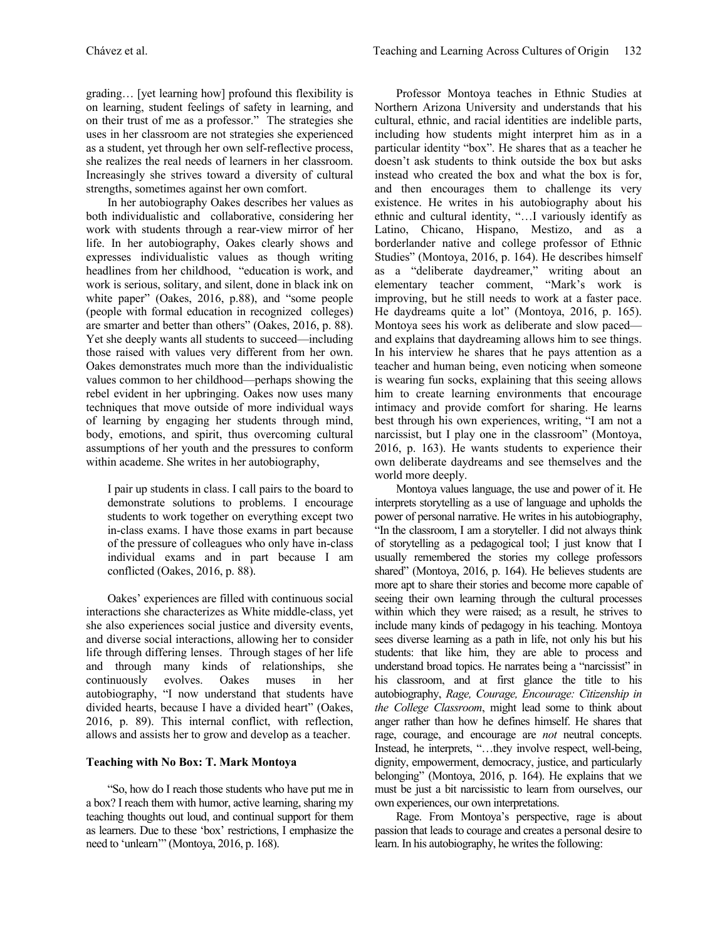grading… [yet learning how] profound this flexibility is on learning, student feelings of safety in learning, and on their trust of me as a professor." The strategies she uses in her classroom are not strategies she experienced as a student, yet through her own self-reflective process, she realizes the real needs of learners in her classroom. Increasingly she strives toward a diversity of cultural strengths, sometimes against her own comfort.

In her autobiography Oakes describes her values as both individualistic and collaborative, considering her work with students through a rear-view mirror of her life. In her autobiography, Oakes clearly shows and expresses individualistic values as though writing headlines from her childhood, "education is work, and work is serious, solitary, and silent, done in black ink on white paper" (Oakes, 2016, p.88), and "some people (people with formal education in recognized colleges) are smarter and better than others" (Oakes, 2016, p. 88). Yet she deeply wants all students to succeed—including those raised with values very different from her own. Oakes demonstrates much more than the individualistic values common to her childhood—perhaps showing the rebel evident in her upbringing. Oakes now uses many techniques that move outside of more individual ways of learning by engaging her students through mind, body, emotions, and spirit, thus overcoming cultural assumptions of her youth and the pressures to conform within academe. She writes in her autobiography,

I pair up students in class. I call pairs to the board to demonstrate solutions to problems. I encourage students to work together on everything except two in-class exams. I have those exams in part because of the pressure of colleagues who only have in-class individual exams and in part because I am conflicted (Oakes, 2016, p. 88).

Oakes' experiences are filled with continuous social interactions she characterizes as White middle-class, yet she also experiences social justice and diversity events, and diverse social interactions, allowing her to consider life through differing lenses. Through stages of her life and through many kinds of relationships, she continuously evolves. Oakes muses in her autobiography, "I now understand that students have divided hearts, because I have a divided heart" (Oakes, 2016, p. 89). This internal conflict, with reflection, allows and assists her to grow and develop as a teacher.

#### **Teaching with No Box: T. Mark Montoya**

"So, how do I reach those students who have put me in a box? I reach them with humor, active learning, sharing my teaching thoughts out loud, and continual support for them as learners. Due to these 'box' restrictions, I emphasize the need to 'unlearn'" (Montoya, 2016, p. 168).

Professor Montoya teaches in Ethnic Studies at Northern Arizona University and understands that his cultural, ethnic, and racial identities are indelible parts, including how students might interpret him as in a particular identity "box". He shares that as a teacher he doesn't ask students to think outside the box but asks instead who created the box and what the box is for, and then encourages them to challenge its very existence. He writes in his autobiography about his ethnic and cultural identity, "…I variously identify as Latino, Chicano, Hispano, Mestizo, and as a borderlander native and college professor of Ethnic Studies" (Montoya, 2016, p. 164). He describes himself as a "deliberate daydreamer," writing about an elementary teacher comment, "Mark's work is improving, but he still needs to work at a faster pace. He daydreams quite a lot" (Montoya, 2016, p. 165). Montoya sees his work as deliberate and slow paced and explains that daydreaming allows him to see things. In his interview he shares that he pays attention as a teacher and human being, even noticing when someone is wearing fun socks, explaining that this seeing allows him to create learning environments that encourage intimacy and provide comfort for sharing. He learns best through his own experiences, writing, "I am not a narcissist, but I play one in the classroom" (Montoya, 2016, p. 163). He wants students to experience their own deliberate daydreams and see themselves and the world more deeply.

Montoya values language, the use and power of it. He interprets storytelling as a use of language and upholds the power of personal narrative. He writes in his autobiography, "In the classroom, I am a storyteller. I did not always think of storytelling as a pedagogical tool; I just know that I usually remembered the stories my college professors shared" (Montoya, 2016, p. 164). He believes students are more apt to share their stories and become more capable of seeing their own learning through the cultural processes within which they were raised; as a result, he strives to include many kinds of pedagogy in his teaching. Montoya sees diverse learning as a path in life, not only his but his students: that like him, they are able to process and understand broad topics. He narrates being a "narcissist" in his classroom, and at first glance the title to his autobiography, *Rage, Courage, Encourage: Citizenship in the College Classroom*, might lead some to think about anger rather than how he defines himself. He shares that rage, courage, and encourage are *not* neutral concepts. Instead, he interprets, "…they involve respect, well-being, dignity, empowerment, democracy, justice, and particularly belonging" (Montoya, 2016, p. 164). He explains that we must be just a bit narcissistic to learn from ourselves, our own experiences, our own interpretations.

Rage. From Montoya's perspective, rage is about passion that leads to courage and creates a personal desire to learn. In his autobiography, he writes the following: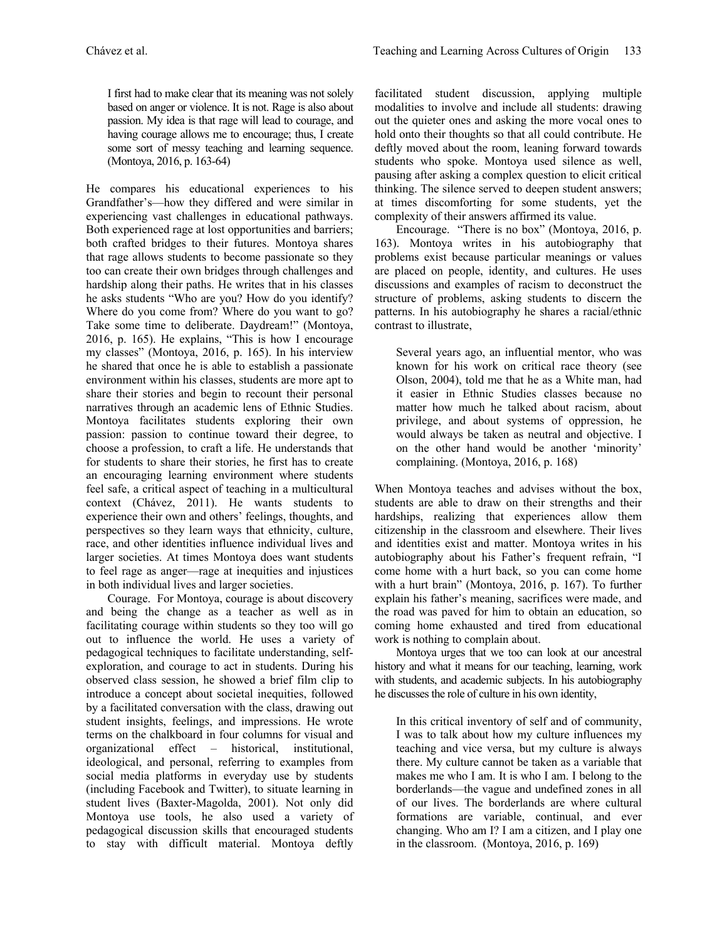I first had to make clear that its meaning was not solely based on anger or violence. It is not. Rage is also about passion. My idea is that rage will lead to courage, and having courage allows me to encourage; thus, I create some sort of messy teaching and learning sequence. (Montoya, 2016, p. 163-64)

He compares his educational experiences to his Grandfather's—how they differed and were similar in experiencing vast challenges in educational pathways. Both experienced rage at lost opportunities and barriers; both crafted bridges to their futures. Montoya shares that rage allows students to become passionate so they too can create their own bridges through challenges and hardship along their paths. He writes that in his classes he asks students "Who are you? How do you identify? Where do you come from? Where do you want to go? Take some time to deliberate. Daydream!" (Montoya, 2016, p. 165). He explains, "This is how I encourage my classes" (Montoya, 2016, p. 165). In his interview he shared that once he is able to establish a passionate environment within his classes, students are more apt to share their stories and begin to recount their personal narratives through an academic lens of Ethnic Studies. Montoya facilitates students exploring their own passion: passion to continue toward their degree, to choose a profession, to craft a life. He understands that for students to share their stories, he first has to create an encouraging learning environment where students feel safe, a critical aspect of teaching in a multicultural context (Chávez, 2011). He wants students to experience their own and others' feelings, thoughts, and perspectives so they learn ways that ethnicity, culture, race, and other identities influence individual lives and larger societies. At times Montoya does want students to feel rage as anger—rage at inequities and injustices in both individual lives and larger societies.

Courage. For Montoya, courage is about discovery and being the change as a teacher as well as in facilitating courage within students so they too will go out to influence the world. He uses a variety of pedagogical techniques to facilitate understanding, selfexploration, and courage to act in students. During his observed class session, he showed a brief film clip to introduce a concept about societal inequities, followed by a facilitated conversation with the class, drawing out student insights, feelings, and impressions. He wrote terms on the chalkboard in four columns for visual and organizational effect – historical, institutional, ideological, and personal, referring to examples from social media platforms in everyday use by students (including Facebook and Twitter), to situate learning in student lives (Baxter-Magolda, 2001). Not only did Montoya use tools, he also used a variety of pedagogical discussion skills that encouraged students to stay with difficult material. Montoya deftly

facilitated student discussion, applying multiple modalities to involve and include all students: drawing out the quieter ones and asking the more vocal ones to hold onto their thoughts so that all could contribute. He deftly moved about the room, leaning forward towards students who spoke. Montoya used silence as well, pausing after asking a complex question to elicit critical thinking. The silence served to deepen student answers; at times discomforting for some students, yet the complexity of their answers affirmed its value.

Encourage. "There is no box" (Montoya, 2016, p. 163). Montoya writes in his autobiography that problems exist because particular meanings or values are placed on people, identity, and cultures. He uses discussions and examples of racism to deconstruct the structure of problems, asking students to discern the patterns. In his autobiography he shares a racial/ethnic contrast to illustrate,

Several years ago, an influential mentor, who was known for his work on critical race theory (see Olson, 2004), told me that he as a White man, had it easier in Ethnic Studies classes because no matter how much he talked about racism, about privilege, and about systems of oppression, he would always be taken as neutral and objective. I on the other hand would be another 'minority' complaining. (Montoya, 2016, p. 168)

When Montoya teaches and advises without the box, students are able to draw on their strengths and their hardships, realizing that experiences allow them citizenship in the classroom and elsewhere. Their lives and identities exist and matter. Montoya writes in his autobiography about his Father's frequent refrain, "I come home with a hurt back, so you can come home with a hurt brain" (Montoya, 2016, p. 167). To further explain his father's meaning, sacrifices were made, and the road was paved for him to obtain an education, so coming home exhausted and tired from educational work is nothing to complain about.

Montoya urges that we too can look at our ancestral history and what it means for our teaching, learning, work with students, and academic subjects. In his autobiography he discusses the role of culture in his own identity,

In this critical inventory of self and of community, I was to talk about how my culture influences my teaching and vice versa, but my culture is always there. My culture cannot be taken as a variable that makes me who I am. It is who I am. I belong to the borderlands—the vague and undefined zones in all of our lives. The borderlands are where cultural formations are variable, continual, and ever changing. Who am I? I am a citizen, and I play one in the classroom. (Montoya, 2016, p. 169)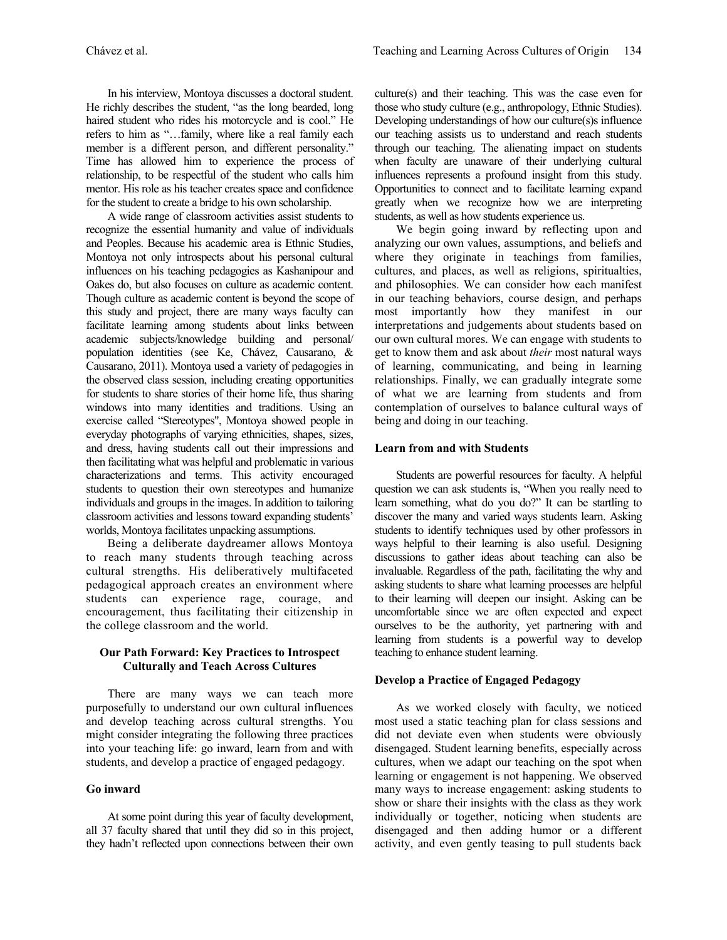In his interview, Montoya discusses a doctoral student. He richly describes the student, "as the long bearded, long haired student who rides his motorcycle and is cool." He refers to him as "…family, where like a real family each member is a different person, and different personality." Time has allowed him to experience the process of relationship, to be respectful of the student who calls him mentor. His role as his teacher creates space and confidence for the student to create a bridge to his own scholarship.

A wide range of classroom activities assist students to recognize the essential humanity and value of individuals and Peoples. Because his academic area is Ethnic Studies, Montoya not only introspects about his personal cultural influences on his teaching pedagogies as Kashanipour and Oakes do, but also focuses on culture as academic content. Though culture as academic content is beyond the scope of this study and project, there are many ways faculty can facilitate learning among students about links between academic subjects/knowledge building and personal/ population identities (see Ke, Chávez, Causarano, & Causarano, 2011). Montoya used a variety of pedagogies in the observed class session, including creating opportunities for students to share stories of their home life, thus sharing windows into many identities and traditions. Using an exercise called "Stereotypes", Montoya showed people in everyday photographs of varying ethnicities, shapes, sizes, and dress, having students call out their impressions and then facilitating what was helpful and problematic in various characterizations and terms. This activity encouraged students to question their own stereotypes and humanize individuals and groups in the images. In addition to tailoring classroom activities and lessons toward expanding students' worlds, Montoya facilitates unpacking assumptions.

Being a deliberate daydreamer allows Montoya to reach many students through teaching across cultural strengths. His deliberatively multifaceted pedagogical approach creates an environment where students can experience rage, courage, and encouragement, thus facilitating their citizenship in the college classroom and the world.

# **Our Path Forward: Key Practices to Introspect Culturally and Teach Across Cultures**

There are many ways we can teach more purposefully to understand our own cultural influences and develop teaching across cultural strengths. You might consider integrating the following three practices into your teaching life: go inward, learn from and with students, and develop a practice of engaged pedagogy.

# **Go inward**

At some point during this year of faculty development, all 37 faculty shared that until they did so in this project, they hadn't reflected upon connections between their own culture(s) and their teaching. This was the case even for those who study culture (e.g., anthropology, Ethnic Studies). Developing understandings of how our culture(s)s influence our teaching assists us to understand and reach students through our teaching. The alienating impact on students when faculty are unaware of their underlying cultural influences represents a profound insight from this study. Opportunities to connect and to facilitate learning expand greatly when we recognize how we are interpreting students, as well as how students experience us.

We begin going inward by reflecting upon and analyzing our own values, assumptions, and beliefs and where they originate in teachings from families, cultures, and places, as well as religions, spiritualties, and philosophies. We can consider how each manifest in our teaching behaviors, course design, and perhaps most importantly how they manifest in our interpretations and judgements about students based on our own cultural mores. We can engage with students to get to know them and ask about *their* most natural ways of learning, communicating, and being in learning relationships. Finally, we can gradually integrate some of what we are learning from students and from contemplation of ourselves to balance cultural ways of being and doing in our teaching.

#### **Learn from and with Students**

Students are powerful resources for faculty. A helpful question we can ask students is, "When you really need to learn something, what do you do?" It can be startling to discover the many and varied ways students learn. Asking students to identify techniques used by other professors in ways helpful to their learning is also useful. Designing discussions to gather ideas about teaching can also be invaluable. Regardless of the path, facilitating the why and asking students to share what learning processes are helpful to their learning will deepen our insight. Asking can be uncomfortable since we are often expected and expect ourselves to be the authority, yet partnering with and learning from students is a powerful way to develop teaching to enhance student learning.

#### **Develop a Practice of Engaged Pedagogy**

As we worked closely with faculty, we noticed most used a static teaching plan for class sessions and did not deviate even when students were obviously disengaged. Student learning benefits, especially across cultures, when we adapt our teaching on the spot when learning or engagement is not happening. We observed many ways to increase engagement: asking students to show or share their insights with the class as they work individually or together, noticing when students are disengaged and then adding humor or a different activity, and even gently teasing to pull students back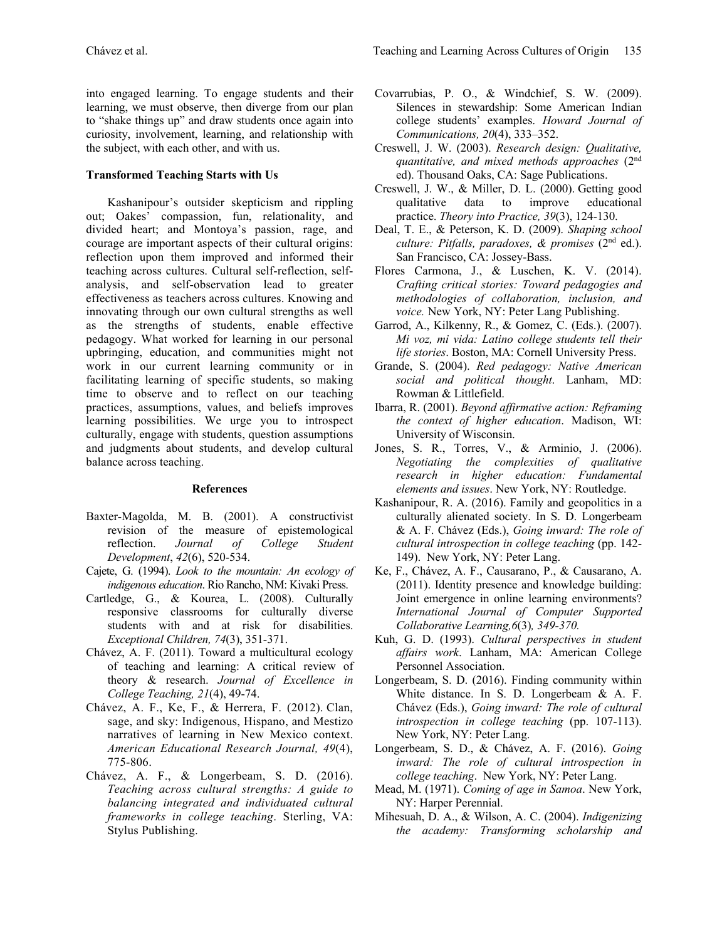into engaged learning. To engage students and their learning, we must observe, then diverge from our plan to "shake things up" and draw students once again into curiosity, involvement, learning, and relationship with the subject, with each other, and with us.

#### **Transformed Teaching Starts with Us**

Kashanipour's outsider skepticism and rippling out; Oakes' compassion, fun, relationality, and divided heart; and Montoya's passion, rage, and courage are important aspects of their cultural origins: reflection upon them improved and informed their teaching across cultures. Cultural self-reflection, selfanalysis, and self-observation lead to greater effectiveness as teachers across cultures. Knowing and innovating through our own cultural strengths as well as the strengths of students, enable effective pedagogy. What worked for learning in our personal upbringing, education, and communities might not work in our current learning community or in facilitating learning of specific students, so making time to observe and to reflect on our teaching practices, assumptions, values, and beliefs improves learning possibilities. We urge you to introspect culturally, engage with students, question assumptions and judgments about students, and develop cultural balance across teaching.

## **References**

- Baxter-Magolda, M. B. (2001). A constructivist revision of the measure of epistemological<br>reflection. Journal of College Student reflection. *Journal of College Student Development*, *42*(6), 520-534.
- Cajete, G. (1994). *Look to the mountain: An ecology of indigenous education*. Rio Rancho, NM: Kivaki Press.
- Cartledge, G., & Kourea, L. (2008). Culturally responsive classrooms for culturally diverse students with and at risk for disabilities. *Exceptional Children, 74*(3), 351-371.
- Chávez, A. F. (2011). Toward a multicultural ecology of teaching and learning: A critical review of theory & research. *Journal of Excellence in College Teaching, 21*(4), 49-74.
- Chávez, A. F., Ke, F., & Herrera, F. (2012). Clan, sage, and sky: Indigenous, Hispano, and Mestizo narratives of learning in New Mexico context. *American Educational Research Journal, 49*(4), 775-806.
- Chávez, A. F., & Longerbeam, S. D. (2016). *Teaching across cultural strengths: A guide to balancing integrated and individuated cultural frameworks in college teaching*. Sterling, VA: Stylus Publishing.
- Covarrubias, P. O., & Windchief, S. W. (2009). Silences in stewardship: Some American Indian college students' examples. *Howard Journal of Communications, 20*(4), 333–352.
- Creswell, J. W. (2003). *Research design: Qualitative, quantitative, and mixed methods approaches* (2nd ed). Thousand Oaks, CA: Sage Publications.
- Creswell, J. W., & Miller, D. L. (2000). Getting good qualitative data to improve educational practice. *Theory into Practice, 39*(3), 124-130.
- Deal, T. E., & Peterson, K. D. (2009). *Shaping school culture: Pitfalls, paradoxes, & promises* (2nd ed.). San Francisco, CA: Jossey-Bass.
- Flores Carmona, J., & Luschen, K. V. (2014). *Crafting critical stories: Toward pedagogies and methodologies of collaboration, inclusion, and voice.* New York, NY: Peter Lang Publishing.
- Garrod, A., Kilkenny, R., & Gomez, C. (Eds.). (2007). *Mi voz, mi vida: Latino college students tell their life stories*. Boston, MA: Cornell University Press.
- Grande, S. (2004). *Red pedagogy: Native American social and political thought*. Lanham, MD: Rowman & Littlefield.
- Ibarra, R. (2001). *Beyond affirmative action: Reframing the context of higher education*. Madison, WI: University of Wisconsin.
- Jones, S. R., Torres, V., & Arminio, J. (2006). *Negotiating the complexities of qualitative research in higher education: Fundamental elements and issues*. New York, NY: Routledge.
- Kashanipour, R. A. (2016). Family and geopolitics in a culturally alienated society. In S. D. Longerbeam & A. F. Chávez (Eds.), *Going inward: The role of cultural introspection in college teaching* (pp. 142- 149). New York, NY: Peter Lang.
- Ke, F., Chávez, A. F., Causarano, P., & Causarano, A. (2011). Identity presence and knowledge building: Joint emergence in online learning environments? *International Journal of Computer Supported Collaborative Learning,6*(3)*, 349-370.*
- Kuh, G. D. (1993). *Cultural perspectives in student affairs work*. Lanham, MA: American College Personnel Association.
- Longerbeam, S. D. (2016). Finding community within White distance. In S. D. Longerbeam & A. F. Chávez (Eds.), *Going inward: The role of cultural introspection in college teaching* (pp. 107-113). New York, NY: Peter Lang.
- Longerbeam, S. D., & Chávez, A. F. (2016). *Going inward: The role of cultural introspection in college teaching*. New York, NY: Peter Lang.
- Mead, M. (1971). *Coming of age in Samoa*. New York, NY: Harper Perennial.
- Mihesuah, D. A., & Wilson, A. C. (2004). *Indigenizing the academy: Transforming scholarship and*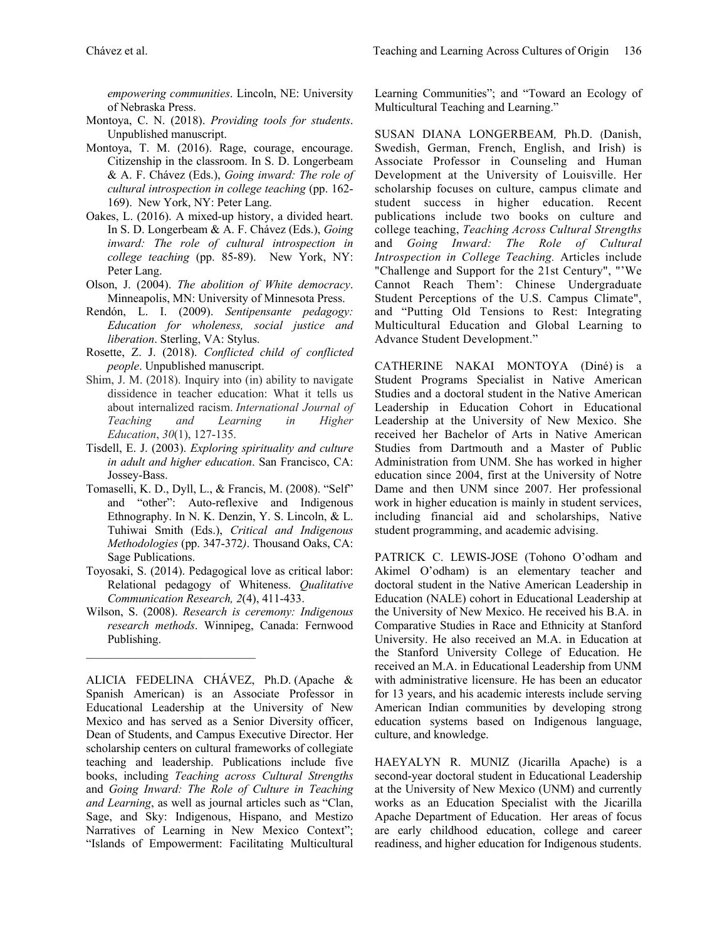*empowering communities*. Lincoln, NE: University of Nebraska Press.

- Montoya, C. N. (2018). *Providing tools for students*. Unpublished manuscript.
- Montoya, T. M. (2016). Rage, courage, encourage. Citizenship in the classroom. In S. D. Longerbeam & A. F. Chávez (Eds.), *Going inward: The role of cultural introspection in college teaching* (pp. 162- 169). New York, NY: Peter Lang.
- Oakes, L. (2016). A mixed-up history, a divided heart. In S. D. Longerbeam & A. F. Chávez (Eds.), *Going inward: The role of cultural introspection in college teaching* (pp. 85-89). New York, NY: Peter Lang.
- Olson, J. (2004). *The abolition of White democracy*. Minneapolis, MN: University of Minnesota Press.
- Rendón, L. I. (2009). *Sentipensante pedagogy: Education for wholeness, social justice and liberation*. Sterling, VA: Stylus.
- Rosette, Z. J. (2018). *Conflicted child of conflicted people*. Unpublished manuscript.
- Shim, J. M. (2018). Inquiry into (in) ability to navigate dissidence in teacher education: What it tells us about internalized racism. *International Journal of Teaching and Learning in Higher Education*, *30*(1), 127-135.
- Tisdell, E. J. (2003). *Exploring spirituality and culture in adult and higher education*. San Francisco, CA: Jossey-Bass.
- Tomaselli, K. D., Dyll, L., & Francis, M. (2008). "Self" and "other": Auto-reflexive and Indigenous Ethnography. In N. K. Denzin, Y. S. Lincoln, & L. Tuhiwai Smith (Eds.), *Critical and Indigenous Methodologies* (pp. 347-372*)*. Thousand Oaks, CA: Sage Publications.
- Toyosaki, S. (2014). Pedagogical love as critical labor: Relational pedagogy of Whiteness. *Qualitative Communication Research, 2*(4), 411-433.
- Wilson, S. (2008). *Research is ceremony: Indigenous research methods*. Winnipeg, Canada: Fernwood Publishing.

ALICIA FEDELINA CHÁVEZ, Ph.D. (Apache & Spanish American) is an Associate Professor in Educational Leadership at the University of New Mexico and has served as a Senior Diversity officer, Dean of Students, and Campus Executive Director. Her scholarship centers on cultural frameworks of collegiate teaching and leadership. Publications include five books, including *Teaching across Cultural Strengths* and *Going Inward: The Role of Culture in Teaching and Learning*, as well as journal articles such as "Clan, Sage, and Sky: Indigenous, Hispano, and Mestizo Narratives of Learning in New Mexico Context"; "Islands of Empowerment: Facilitating Multicultural Learning Communities"; and "Toward an Ecology of Multicultural Teaching and Learning."

SUSAN DIANA LONGERBEAM*,* Ph.D. (Danish, Swedish, German, French, English, and Irish) is Associate Professor in Counseling and Human Development at the University of Louisville. Her scholarship focuses on culture, campus climate and student success in higher education. Recent publications include two books on culture and college teaching, *Teaching Across Cultural Strengths* and *Going Inward: The Role of Cultural Introspection in College Teaching.* Articles include "Challenge and Support for the 21st Century", "'We Cannot Reach Them': Chinese Undergraduate Student Perceptions of the U.S. Campus Climate", and "Putting Old Tensions to Rest: Integrating Multicultural Education and Global Learning to Advance Student Development."

CATHERINE NAKAI MONTOYA (Diné) is a Student Programs Specialist in Native American Studies and a doctoral student in the Native American Leadership in Education Cohort in Educational Leadership at the University of New Mexico. She received her Bachelor of Arts in Native American Studies from Dartmouth and a Master of Public Administration from UNM. She has worked in higher education since 2004, first at the University of Notre Dame and then UNM since 2007. Her professional work in higher education is mainly in student services, including financial aid and scholarships, Native student programming, and academic advising.

PATRICK C. LEWIS-JOSE (Tohono O'odham and Akimel O'odham) is an elementary teacher and doctoral student in the Native American Leadership in Education (NALE) cohort in Educational Leadership at the University of New Mexico. He received his B.A. in Comparative Studies in Race and Ethnicity at Stanford University. He also received an M.A. in Education at the Stanford University College of Education. He received an M.A. in Educational Leadership from UNM with administrative licensure. He has been an educator for 13 years, and his academic interests include serving American Indian communities by developing strong education systems based on Indigenous language, culture, and knowledge.

HAEYALYN R. MUNIZ (Jicarilla Apache) is a second-year doctoral student in Educational Leadership at the University of New Mexico (UNM) and currently works as an Education Specialist with the Jicarilla Apache Department of Education. Her areas of focus are early childhood education, college and career readiness, and higher education for Indigenous students.